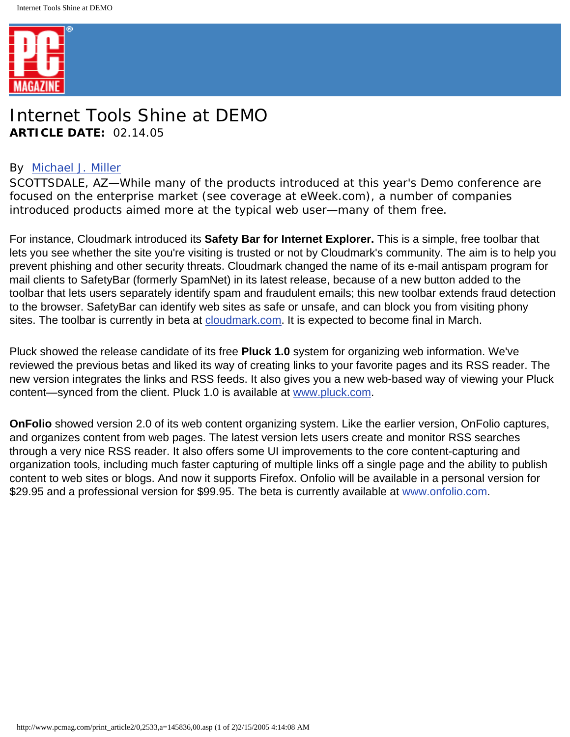

## Internet Tools Shine at DEMO **ARTICLE DATE:** 02.14.05

## By [Michael J. Miller](http://www.pcmag.com/author_bio/0,1772,a=164,00.asp)

SCOTTSDALE, AZ—While many of the products introduced at this year's Demo conference are focused on the enterprise market (see coverage at eWeek.com), a number of companies introduced products aimed more at the typical web user—many of them free.

For instance, Cloudmark introduced its **Safety Bar for Internet Explorer.** This is a simple, free toolbar that lets you see whether the site you're visiting is trusted or not by Cloudmark's community. The aim is to help you prevent phishing and other security threats. Cloudmark changed the name of its e-mail antispam program for mail clients to SafetyBar (formerly SpamNet) in its latest release, because of a new button added to the toolbar that lets users separately identify spam and fraudulent emails; this new toolbar extends fraud detection to the browser. SafetyBar can identify web sites as safe or unsafe, and can block you from visiting phony sites. The toolbar is currently in beta at [cloudmark.com](http://www.cloudmark.com/iebeta). It is expected to become final in March.

Pluck showed the release candidate of its free **Pluck 1.0** system for organizing web information. We've reviewed the previous betas and liked its way of creating links to your favorite pages and its RSS reader. The new version integrates the links and RSS feeds. It also gives you a new web-based way of viewing your Pluck content—synced from the client. Pluck 1.0 is available at [www.pluck.com.](http://www.pluck.com/)

**OnFolio** showed version 2.0 of its web content organizing system. Like the earlier version, OnFolio captures, and organizes content from web pages. The latest version lets users create and monitor RSS searches through a very nice RSS reader. It also offers some UI improvements to the core content-capturing and organization tools, including much faster capturing of multiple links off a single page and the ability to publish content to web sites or blogs. And now it supports Firefox. Onfolio will be available in a personal version for \$29.95 and a professional version for \$99.95. The beta is currently available at [www.onfolio.com](http://www.onfolio.com/).